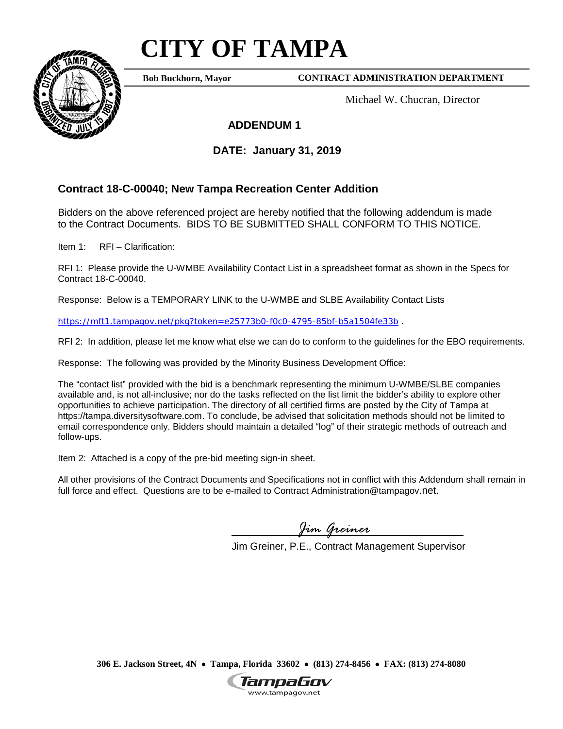## **CITY OF TAMPA**



**Bob Buckhorn, Mayor**

**CONTRACT ADMINISTRATION DEPARTMENT**

Michael W. Chucran, Director

## **ADDENDUM 1**

**DATE: January 31, 2019**

## **Contract 18-C-00040; New Tampa Recreation Center Addition**

Bidders on the above referenced project are hereby notified that the following addendum is made to the Contract Documents. BIDS TO BE SUBMITTED SHALL CONFORM TO THIS NOTICE.

Item 1: RFI – Clarification:

RFI 1: Please provide the U-WMBE Availability Contact List in a spreadsheet format as shown in the Specs for Contract 18-C-00040.

Response: Below is a TEMPORARY LINK to the U-WMBE and SLBE Availability Contact Lists

<https://mft1.tampagov.net/pkg?token=e25773b0-f0c0-4795-85bf-b5a1504fe33b> .

RFI 2: In addition, please let me know what else we can do to conform to the guidelines for the EBO requirements.

Response: The following was provided by the Minority Business Development Office:

The "contact list" provided with the bid is a benchmark representing the minimum U-WMBE/SLBE companies available and, is not all-inclusive; nor do the tasks reflected on the list limit the bidder's ability to explore other opportunities to achieve participation. The directory of all certified firms are posted by the City of Tampa at https://tampa.diversitysoftware.com. To conclude, be advised that solicitation methods should not be limited to email correspondence only. Bidders should maintain a detailed "log" of their strategic methods of outreach and follow-ups.

Item 2: Attached is a copy of the pre-bid meeting sign-in sheet.

All other provisions of the Contract Documents and Specifications not in conflict with this Addendum shall remain in full force and effect. Questions are to be e-mailed to Contract Administration@tampagov.net.

*Jim Greiner*

Jim Greiner, P.E., Contract Management Supervisor

**306 E. Jackson Street, 4N** • **Tampa, Florida 33602** • **(813) 274-8456** • **FAX: (813) 274-8080**